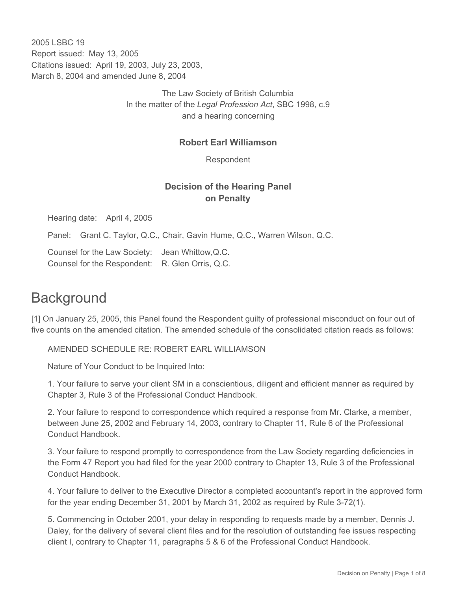2005 LSBC 19 Report issued: May 13, 2005 Citations issued: April 19, 2003, July 23, 2003, March 8, 2004 and amended June 8, 2004

> The Law Society of British Columbia In the matter of the *Legal Profession Act*, SBC 1998, c.9 and a hearing concerning

### **Robert Earl Williamson**

Respondent

# **Decision of the Hearing Panel on Penalty**

Hearing date: April 4, 2005

Panel: Grant C. Taylor, Q.C., Chair, Gavin Hume, Q.C., Warren Wilson, Q.C.

Counsel for the Law Society: Jean Whittow,Q.C. Counsel for the Respondent: R. Glen Orris, Q.C.

# **Background**

[1] On January 25, 2005, this Panel found the Respondent guilty of professional misconduct on four out of five counts on the amended citation. The amended schedule of the consolidated citation reads as follows:

AMENDED SCHEDULE RE: ROBERT EARL WILLIAMSON

Nature of Your Conduct to be Inquired Into:

1. Your failure to serve your client SM in a conscientious, diligent and efficient manner as required by Chapter 3, Rule 3 of the Professional Conduct Handbook.

2. Your failure to respond to correspondence which required a response from Mr. Clarke, a member, between June 25, 2002 and February 14, 2003, contrary to Chapter 11, Rule 6 of the Professional Conduct Handbook.

3. Your failure to respond promptly to correspondence from the Law Society regarding deficiencies in the Form 47 Report you had filed for the year 2000 contrary to Chapter 13, Rule 3 of the Professional Conduct Handbook.

4. Your failure to deliver to the Executive Director a completed accountant's report in the approved form for the year ending December 31, 2001 by March 31, 2002 as required by Rule 3-72(1).

5. Commencing in October 2001, your delay in responding to requests made by a member, Dennis J. Daley, for the delivery of several client files and for the resolution of outstanding fee issues respecting client I, contrary to Chapter 11, paragraphs 5 & 6 of the Professional Conduct Handbook.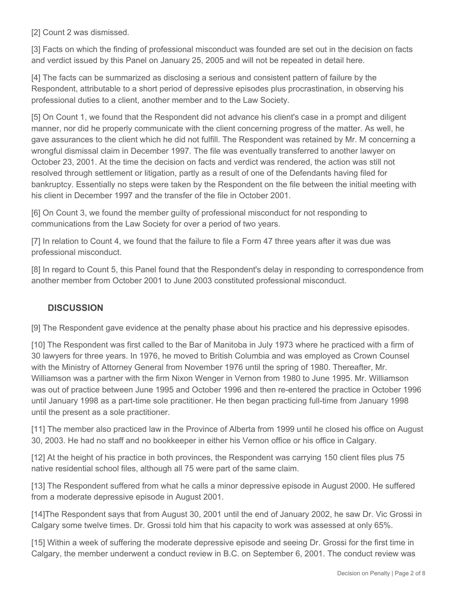[2] Count 2 was dismissed.

[3] Facts on which the finding of professional misconduct was founded are set out in the decision on facts and verdict issued by this Panel on January 25, 2005 and will not be repeated in detail here.

[4] The facts can be summarized as disclosing a serious and consistent pattern of failure by the Respondent, attributable to a short period of depressive episodes plus procrastination, in observing his professional duties to a client, another member and to the Law Society.

[5] On Count 1, we found that the Respondent did not advance his client's case in a prompt and diligent manner, nor did he properly communicate with the client concerning progress of the matter. As well, he gave assurances to the client which he did not fulfill. The Respondent was retained by Mr. M concerning a wrongful dismissal claim in December 1997. The file was eventually transferred to another lawyer on October 23, 2001. At the time the decision on facts and verdict was rendered, the action was still not resolved through settlement or litigation, partly as a result of one of the Defendants having filed for bankruptcy. Essentially no steps were taken by the Respondent on the file between the initial meeting with his client in December 1997 and the transfer of the file in October 2001.

[6] On Count 3, we found the member guilty of professional misconduct for not responding to communications from the Law Society for over a period of two years.

[7] In relation to Count 4, we found that the failure to file a Form 47 three years after it was due was professional misconduct.

[8] In regard to Count 5, this Panel found that the Respondent's delay in responding to correspondence from another member from October 2001 to June 2003 constituted professional misconduct.

## **DISCUSSION**

[9] The Respondent gave evidence at the penalty phase about his practice and his depressive episodes.

[10] The Respondent was first called to the Bar of Manitoba in July 1973 where he practiced with a firm of 30 lawyers for three years. In 1976, he moved to British Columbia and was employed as Crown Counsel with the Ministry of Attorney General from November 1976 until the spring of 1980. Thereafter, Mr. Williamson was a partner with the firm Nixon Wenger in Vernon from 1980 to June 1995. Mr. Williamson was out of practice between June 1995 and October 1996 and then re-entered the practice in October 1996 until January 1998 as a part-time sole practitioner. He then began practicing full-time from January 1998 until the present as a sole practitioner.

[11] The member also practiced law in the Province of Alberta from 1999 until he closed his office on August 30, 2003. He had no staff and no bookkeeper in either his Vernon office or his office in Calgary.

[12] At the height of his practice in both provinces, the Respondent was carrying 150 client files plus 75 native residential school files, although all 75 were part of the same claim.

[13] The Respondent suffered from what he calls a minor depressive episode in August 2000. He suffered from a moderate depressive episode in August 2001.

[14]The Respondent says that from August 30, 2001 until the end of January 2002, he saw Dr. Vic Grossi in Calgary some twelve times. Dr. Grossi told him that his capacity to work was assessed at only 65%.

[15] Within a week of suffering the moderate depressive episode and seeing Dr. Grossi for the first time in Calgary, the member underwent a conduct review in B.C. on September 6, 2001. The conduct review was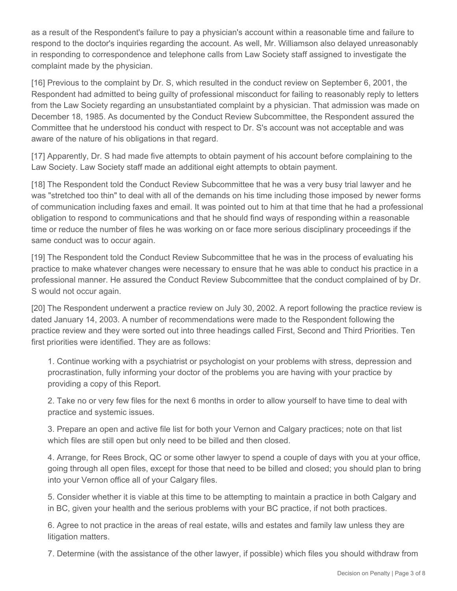as a result of the Respondent's failure to pay a physician's account within a reasonable time and failure to respond to the doctor's inquiries regarding the account. As well, Mr. Williamson also delayed unreasonably in responding to correspondence and telephone calls from Law Society staff assigned to investigate the complaint made by the physician.

[16] Previous to the complaint by Dr. S, which resulted in the conduct review on September 6, 2001, the Respondent had admitted to being guilty of professional misconduct for failing to reasonably reply to letters from the Law Society regarding an unsubstantiated complaint by a physician. That admission was made on December 18, 1985. As documented by the Conduct Review Subcommittee, the Respondent assured the Committee that he understood his conduct with respect to Dr. S's account was not acceptable and was aware of the nature of his obligations in that regard.

[17] Apparently, Dr. S had made five attempts to obtain payment of his account before complaining to the Law Society. Law Society staff made an additional eight attempts to obtain payment.

[18] The Respondent told the Conduct Review Subcommittee that he was a very busy trial lawyer and he was "stretched too thin" to deal with all of the demands on his time including those imposed by newer forms of communication including faxes and email. It was pointed out to him at that time that he had a professional obligation to respond to communications and that he should find ways of responding within a reasonable time or reduce the number of files he was working on or face more serious disciplinary proceedings if the same conduct was to occur again.

[19] The Respondent told the Conduct Review Subcommittee that he was in the process of evaluating his practice to make whatever changes were necessary to ensure that he was able to conduct his practice in a professional manner. He assured the Conduct Review Subcommittee that the conduct complained of by Dr. S would not occur again.

[20] The Respondent underwent a practice review on July 30, 2002. A report following the practice review is dated January 14, 2003. A number of recommendations were made to the Respondent following the practice review and they were sorted out into three headings called First, Second and Third Priorities. Ten first priorities were identified. They are as follows:

1. Continue working with a psychiatrist or psychologist on your problems with stress, depression and procrastination, fully informing your doctor of the problems you are having with your practice by providing a copy of this Report.

2. Take no or very few files for the next 6 months in order to allow yourself to have time to deal with practice and systemic issues.

3. Prepare an open and active file list for both your Vernon and Calgary practices; note on that list which files are still open but only need to be billed and then closed.

4. Arrange, for Rees Brock, QC or some other lawyer to spend a couple of days with you at your office, going through all open files, except for those that need to be billed and closed; you should plan to bring into your Vernon office all of your Calgary files.

5. Consider whether it is viable at this time to be attempting to maintain a practice in both Calgary and in BC, given your health and the serious problems with your BC practice, if not both practices.

6. Agree to not practice in the areas of real estate, wills and estates and family law unless they are litigation matters.

7. Determine (with the assistance of the other lawyer, if possible) which files you should withdraw from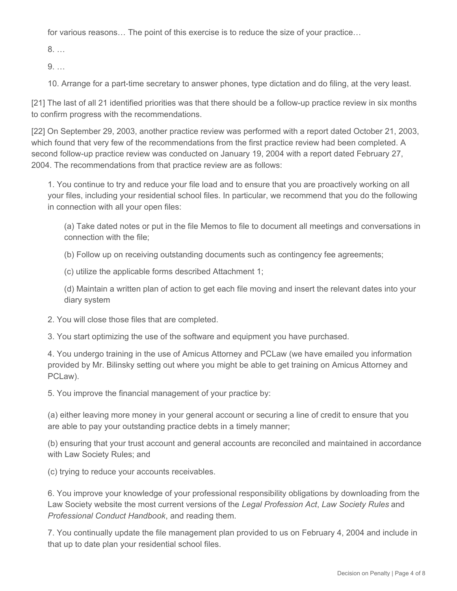for various reasons… The point of this exercise is to reduce the size of your practice…

8. …

9. …

10. Arrange for a part-time secretary to answer phones, type dictation and do filing, at the very least.

[21] The last of all 21 identified priorities was that there should be a follow-up practice review in six months to confirm progress with the recommendations.

[22] On September 29, 2003, another practice review was performed with a report dated October 21, 2003, which found that very few of the recommendations from the first practice review had been completed. A second follow-up practice review was conducted on January 19, 2004 with a report dated February 27, 2004. The recommendations from that practice review are as follows:

1. You continue to try and reduce your file load and to ensure that you are proactively working on all your files, including your residential school files. In particular, we recommend that you do the following in connection with all your open files:

(a) Take dated notes or put in the file Memos to file to document all meetings and conversations in connection with the file;

(b) Follow up on receiving outstanding documents such as contingency fee agreements;

(c) utilize the applicable forms described Attachment 1;

(d) Maintain a written plan of action to get each file moving and insert the relevant dates into your diary system

2. You will close those files that are completed.

3. You start optimizing the use of the software and equipment you have purchased.

4. You undergo training in the use of Amicus Attorney and PCLaw (we have emailed you information provided by Mr. Bilinsky setting out where you might be able to get training on Amicus Attorney and PCLaw).

5. You improve the financial management of your practice by:

(a) either leaving more money in your general account or securing a line of credit to ensure that you are able to pay your outstanding practice debts in a timely manner;

(b) ensuring that your trust account and general accounts are reconciled and maintained in accordance with Law Society Rules; and

(c) trying to reduce your accounts receivables.

6. You improve your knowledge of your professional responsibility obligations by downloading from the Law Society website the most current versions of the *Legal Profession Act*, *Law Society Rules* and *Professional Conduct Handbook*, and reading them.

7. You continually update the file management plan provided to us on February 4, 2004 and include in that up to date plan your residential school files.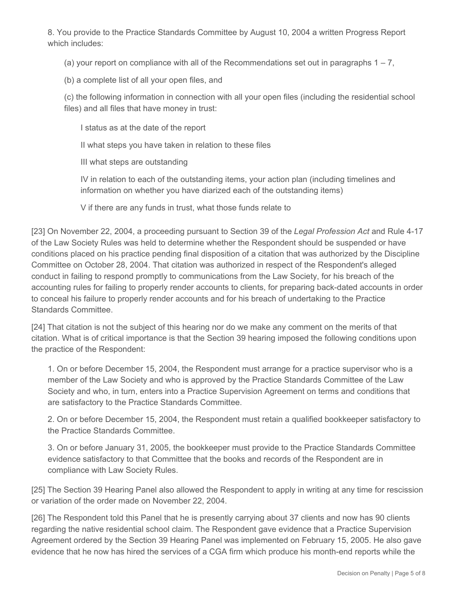8. You provide to the Practice Standards Committee by August 10, 2004 a written Progress Report which includes:

(a) your report on compliance with all of the Recommendations set out in paragraphs  $1 - 7$ .

(b) a complete list of all your open files, and

(c) the following information in connection with all your open files (including the residential school files) and all files that have money in trust:

I status as at the date of the report

II what steps you have taken in relation to these files

III what steps are outstanding

IV in relation to each of the outstanding items, your action plan (including timelines and information on whether you have diarized each of the outstanding items)

V if there are any funds in trust, what those funds relate to

[23] On November 22, 2004, a proceeding pursuant to Section 39 of the *Legal Profession Act* and Rule 4-17 of the Law Society Rules was held to determine whether the Respondent should be suspended or have conditions placed on his practice pending final disposition of a citation that was authorized by the Discipline Committee on October 28, 2004. That citation was authorized in respect of the Respondent's alleged conduct in failing to respond promptly to communications from the Law Society, for his breach of the accounting rules for failing to properly render accounts to clients, for preparing back-dated accounts in order to conceal his failure to properly render accounts and for his breach of undertaking to the Practice Standards Committee.

[24] That citation is not the subject of this hearing nor do we make any comment on the merits of that citation. What is of critical importance is that the Section 39 hearing imposed the following conditions upon the practice of the Respondent:

1. On or before December 15, 2004, the Respondent must arrange for a practice supervisor who is a member of the Law Society and who is approved by the Practice Standards Committee of the Law Society and who, in turn, enters into a Practice Supervision Agreement on terms and conditions that are satisfactory to the Practice Standards Committee.

2. On or before December 15, 2004, the Respondent must retain a qualified bookkeeper satisfactory to the Practice Standards Committee.

3. On or before January 31, 2005, the bookkeeper must provide to the Practice Standards Committee evidence satisfactory to that Committee that the books and records of the Respondent are in compliance with Law Society Rules.

[25] The Section 39 Hearing Panel also allowed the Respondent to apply in writing at any time for rescission or variation of the order made on November 22, 2004.

[26] The Respondent told this Panel that he is presently carrying about 37 clients and now has 90 clients regarding the native residential school claim. The Respondent gave evidence that a Practice Supervision Agreement ordered by the Section 39 Hearing Panel was implemented on February 15, 2005. He also gave evidence that he now has hired the services of a CGA firm which produce his month-end reports while the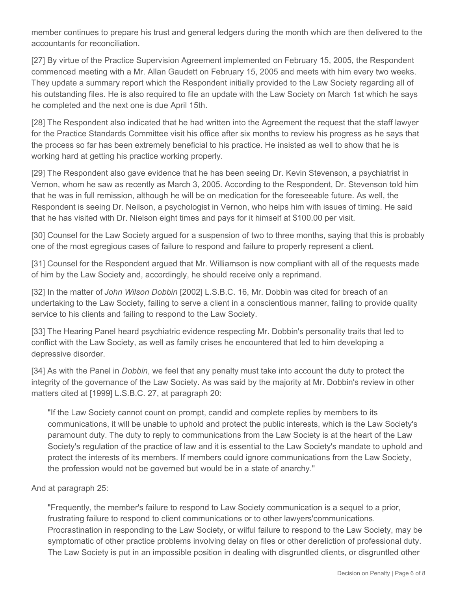member continues to prepare his trust and general ledgers during the month which are then delivered to the accountants for reconciliation.

[27] By virtue of the Practice Supervision Agreement implemented on February 15, 2005, the Respondent commenced meeting with a Mr. Allan Gaudett on February 15, 2005 and meets with him every two weeks. They update a summary report which the Respondent initially provided to the Law Society regarding all of his outstanding files. He is also required to file an update with the Law Society on March 1st which he says he completed and the next one is due April 15th.

[28] The Respondent also indicated that he had written into the Agreement the request that the staff lawyer for the Practice Standards Committee visit his office after six months to review his progress as he says that the process so far has been extremely beneficial to his practice. He insisted as well to show that he is working hard at getting his practice working properly.

[29] The Respondent also gave evidence that he has been seeing Dr. Kevin Stevenson, a psychiatrist in Vernon, whom he saw as recently as March 3, 2005. According to the Respondent, Dr. Stevenson told him that he was in full remission, although he will be on medication for the foreseeable future. As well, the Respondent is seeing Dr. Neilson, a psychologist in Vernon, who helps him with issues of timing. He said that he has visited with Dr. Nielson eight times and pays for it himself at \$100.00 per visit.

[30] Counsel for the Law Society argued for a suspension of two to three months, saying that this is probably one of the most egregious cases of failure to respond and failure to properly represent a client.

[31] Counsel for the Respondent argued that Mr. Williamson is now compliant with all of the requests made of him by the Law Society and, accordingly, he should receive only a reprimand.

[32] In the matter of *John Wilson Dobbin* [2002] L.S.B.C. 16, Mr. Dobbin was cited for breach of an undertaking to the Law Society, failing to serve a client in a conscientious manner, failing to provide quality service to his clients and failing to respond to the Law Society.

[33] The Hearing Panel heard psychiatric evidence respecting Mr. Dobbin's personality traits that led to conflict with the Law Society, as well as family crises he encountered that led to him developing a depressive disorder.

[34] As with the Panel in *Dobbin*, we feel that any penalty must take into account the duty to protect the integrity of the governance of the Law Society. As was said by the majority at Mr. Dobbin's review in other matters cited at [1999] L.S.B.C. 27, at paragraph 20:

"If the Law Society cannot count on prompt, candid and complete replies by members to its communications, it will be unable to uphold and protect the public interests, which is the Law Society's paramount duty. The duty to reply to communications from the Law Society is at the heart of the Law Society's regulation of the practice of law and it is essential to the Law Society's mandate to uphold and protect the interests of its members. If members could ignore communications from the Law Society, the profession would not be governed but would be in a state of anarchy."

#### And at paragraph 25:

"Frequently, the member's failure to respond to Law Society communication is a sequel to a prior, frustrating failure to respond to client communications or to other lawyers'communications. Procrastination in responding to the Law Society, or wilful failure to respond to the Law Society, may be symptomatic of other practice problems involving delay on files or other dereliction of professional duty. The Law Society is put in an impossible position in dealing with disgruntled clients, or disgruntled other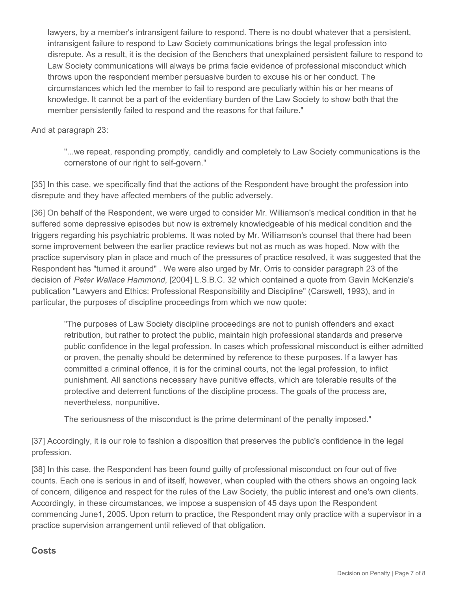lawyers, by a member's intransigent failure to respond. There is no doubt whatever that a persistent, intransigent failure to respond to Law Society communications brings the legal profession into disrepute. As a result, it is the decision of the Benchers that unexplained persistent failure to respond to Law Society communications will always be prima facie evidence of professional misconduct which throws upon the respondent member persuasive burden to excuse his or her conduct. The circumstances which led the member to fail to respond are peculiarly within his or her means of knowledge. It cannot be a part of the evidentiary burden of the Law Society to show both that the member persistently failed to respond and the reasons for that failure."

And at paragraph 23:

"...we repeat, responding promptly, candidly and completely to Law Society communications is the cornerstone of our right to self-govern."

[35] In this case, we specifically find that the actions of the Respondent have brought the profession into disrepute and they have affected members of the public adversely.

[36] On behalf of the Respondent, we were urged to consider Mr. Williamson's medical condition in that he suffered some depressive episodes but now is extremely knowledgeable of his medical condition and the triggers regarding his psychiatric problems. It was noted by Mr. Williamson's counsel that there had been some improvement between the earlier practice reviews but not as much as was hoped. Now with the practice supervisory plan in place and much of the pressures of practice resolved, it was suggested that the Respondent has "turned it around" . We were also urged by Mr. Orris to consider paragraph 23 of the decision of *Peter Wallace Hammond*, [2004] L.S.B.C. 32 which contained a quote from Gavin McKenzie's publication "Lawyers and Ethics: Professional Responsibility and Discipline" (Carswell, 1993), and in particular, the purposes of discipline proceedings from which we now quote:

"The purposes of Law Society discipline proceedings are not to punish offenders and exact retribution, but rather to protect the public, maintain high professional standards and preserve public confidence in the legal profession. In cases which professional misconduct is either admitted or proven, the penalty should be determined by reference to these purposes. If a lawyer has committed a criminal offence, it is for the criminal courts, not the legal profession, to inflict punishment. All sanctions necessary have punitive effects, which are tolerable results of the protective and deterrent functions of the discipline process. The goals of the process are, nevertheless, nonpunitive.

The seriousness of the misconduct is the prime determinant of the penalty imposed."

[37] Accordingly, it is our role to fashion a disposition that preserves the public's confidence in the legal profession.

[38] In this case, the Respondent has been found guilty of professional misconduct on four out of five counts. Each one is serious in and of itself, however, when coupled with the others shows an ongoing lack of concern, diligence and respect for the rules of the Law Society, the public interest and one's own clients. Accordingly, in these circumstances, we impose a suspension of 45 days upon the Respondent commencing June1, 2005. Upon return to practice, the Respondent may only practice with a supervisor in a practice supervision arrangement until relieved of that obligation.

### **Costs**